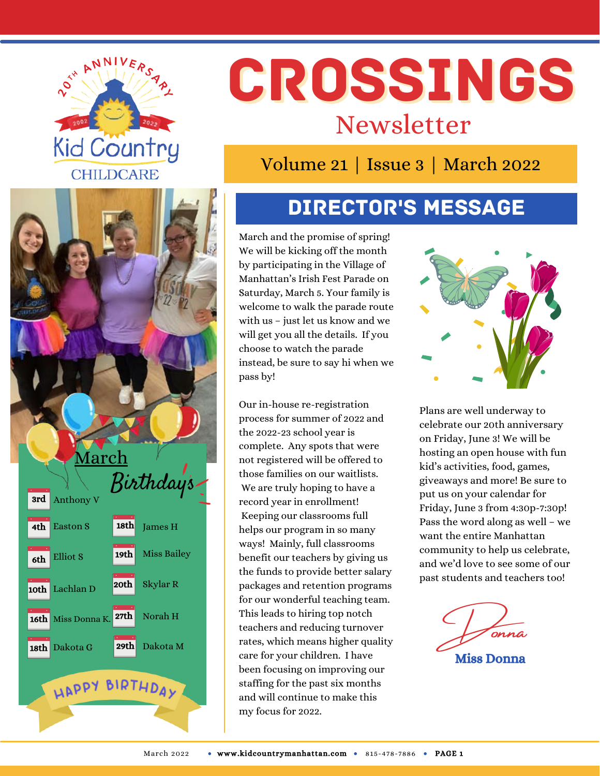



# CROSSINGS Newsletter

Volume 21 | Issue 3 | March 2022

# Director's Message

March and the promise of spring! We will be kicking off the month by participating in the Village of Manhattan's Irish Fest Parade on Saturday, March 5. Your family is welcome to walk the parade route with us – just let us know and we will get you all the details. If you choose to watch the parade instead, be sure to say hi when we pass by!

Our in-house re-registration process for summer of 2022 and the 2022-23 school year is complete. Any spots that were not registered will be offered to those families on our waitlists. We are truly hoping to have a record year in enrollment! Keeping our classrooms full helps our program in so many ways! Mainly, full classrooms benefit our teachers by giving us the funds to provide better salary packages and retention programs for our wonderful teaching team. This leads to hiring top notch teachers and reducing turnover rates, which means higher quality care for your children. I have been focusing on improving our staffing for the past six months and will continue to make this my focus for 2022.



Plans are well underway to celebrate our 20th anniversary on Friday, June 3! We will be hosting an open house with fun kid's activities, food, games, giveaways and more! Be sure to put us on your calendar for Friday, June 3 from 4:30p-7:30p! Pass the word along as well – we want the entire Manhattan community to help us celebrate, and we'd love to see some of our past students and teachers too!

Donna Miss Donna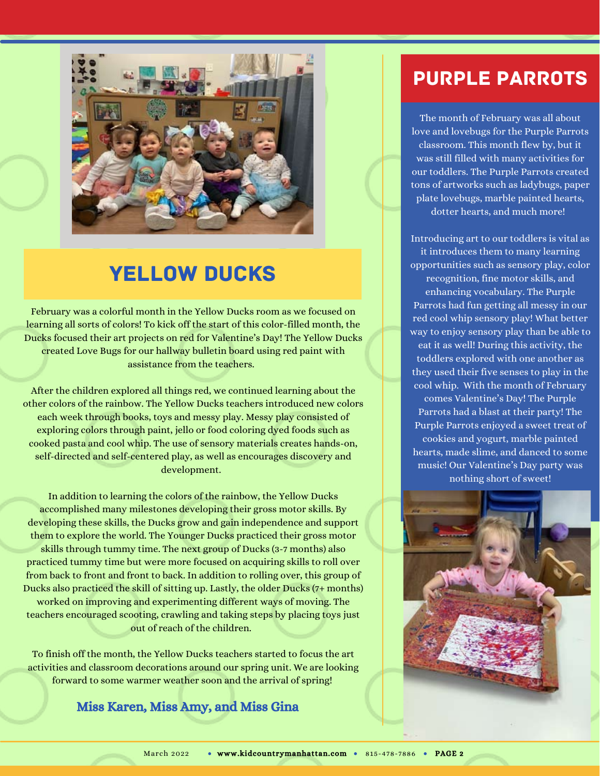

# **YELLOW DUCKS**

February was a colorful month in the Yellow Ducks room as we focused on learning all sorts of colors! To kick off the start of this color-filled month, the Ducks focused their art projects on red for Valentine's Day! The Yellow Ducks created Love Bugs for our hallway bulletin board using red paint with assistance from the teachers.

After the children explored all things red, we continued learning about the other colors of the rainbow. The Yellow Ducks teachers introduced new colors each week through books, toys and messy play. Messy play consisted of exploring colors through paint, jello or food coloring dyed foods such as cooked pasta and cool whip. The use of sensory materials creates hands-on, self-directed and self-centered play, as well as encourages discovery and development.

In addition to learning the colors of the rainbow, the Yellow Ducks accomplished many milestones developing their gross motor skills. By developing these skills, the Ducks grow and gain independence and support them to explore the world. The Younger Ducks practiced their gross motor skills through tummy time. The next group of Ducks (3-7 months) also practiced tummy time but were more focused on acquiring skills to roll over from back to front and front to back. In addition to rolling over, this group of Ducks also practiced the skill of sitting up. Lastly, the older Ducks (7+ months) worked on improving and experimenting different ways of moving. The teachers encouraged scooting, crawling and taking steps by placing toys just out of reach of the children.

To finish off the month, the Yellow Ducks teachers started to focus the art activities and classroom decorations around our spring unit. We are looking forward to some warmer weather soon and the arrival of spring!

#### Miss Karen, Miss Amy, and Miss Gina

#### Purple Parrots

The month of February was all about love and lovebugs for the Purple Parrots classroom. This month flew by, but it was still filled with many activities for our toddlers. The Purple Parrots created tons of artworks such as ladybugs, paper plate lovebugs, marble painted hearts, dotter hearts, and much more!

Introducing art to our toddlers is vital as it introduces them to many learning opportunities such as sensory play, color recognition, fine motor skills, and enhancing vocabulary. The Purple Parrots had fun getting all messy in our red cool whip sensory play! What better way to enjoy sensory play than be able to eat it as well! During this activity, the toddlers explored with one another as they used their five senses to play in the cool whip. With the month of February comes Valentine's Day! The Purple Parrots had a blast at their party! The Purple Parrots enjoyed a sweet treat of cookies and yogurt, marble painted hearts, made slime, and danced to some music! Our Valentine's Day party was nothing short of sweet!

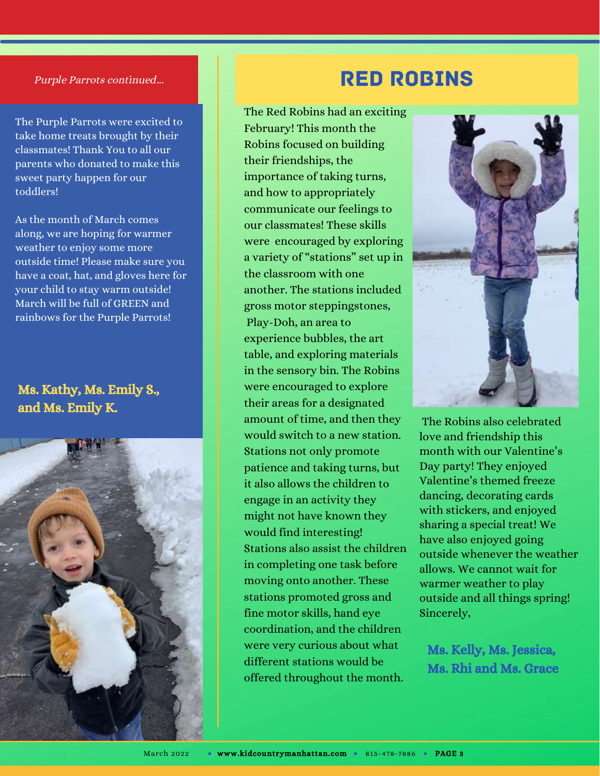#### Purple Parrots continued...

The Purple Parrots were excited to take home treats brought by their classmates! Thank You to all our parents who donated to make this sweet party happen for our toddlers!

As the month of March comes along, we are hoping for warmer weather to enjoy some more outside time! Please make sure you have a coat, hat, and gloves here for your child to stay warm outside! March will be full of GREEN and rainbows for the Purple Parrots!

#### Ms. Kathy, Ms. Emily S., and Ms. Emily K.



#### Red Robins

The Red Robins had an exciting February! This month the Robins focused on building their friendships, the importance of taking turns, and how to appropriately communicate our feelings to our classmates! These skills were encouraged by exploring a variety of "stations" set up in the classroom with one another. The stations included gross motor steppingstones, Play-Doh, an area to experience bubbles, the art table, and exploring materials in the sensory bin. The Robins were encouraged to explore their areas for a designated amount of time, and then they would switch to a new station. Stations not only promote patience and taking turns, but it also allows the children to engage in an activity they might not have known they would find interesting! Stations also assist the children in completing one task before moving onto another. These stations promoted gross and fine motor skills, hand eye coordination, and the children were very curious about what different stations would be offered throughout the month.



The Robins also celebrated love and friendship this month with our Valentine's Day party! They enjoyed Valentine's themed freeze dancing, decorating cards with stickers, and enjoyed sharing a special treat! We have also enjoyed going outside whenever the weather allows. We cannot wait for warmer weather to play outside and all things spring! Sincerely,

Ms. Kelly, Ms. Jessica, Ms. Rhi and Ms. Grace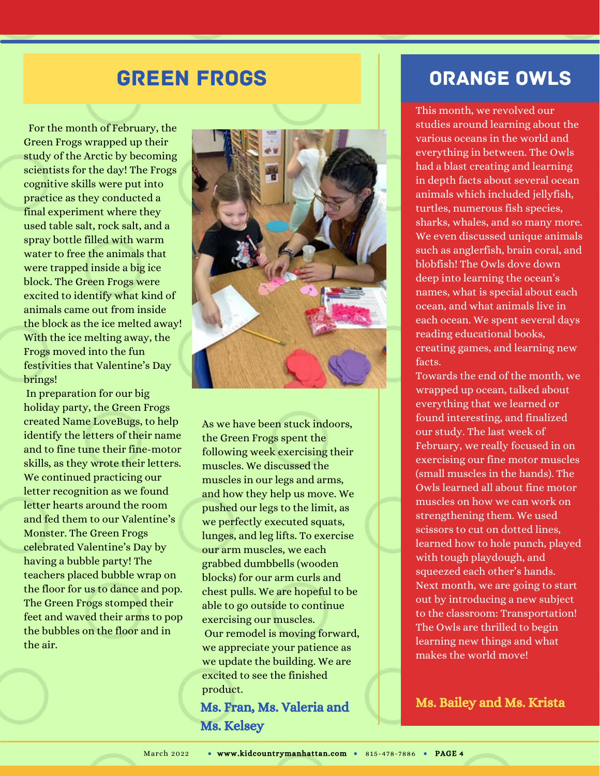#### Green Frogs

For the month of February, the Green Frogs wrapped up their study of the Arctic by becoming scientists for the day! The Frogs cognitive skills were put into practice as they conducted a final experiment where they used table salt, rock salt, and a spray bottle filled with warm water to free the animals that were trapped inside a big ice block. The Green Frogs were excited to identify what kind of animals came out from inside the block as the ice melted away! With the ice melting away, the Frogs moved into the fun festivities that Valentine's Day brings!

In preparation for our big holiday party, the Green Frogs created Name LoveBugs, to help identify the letters of their name and to fine tune their fine-motor skills, as they wrote their letters. We continued practicing our letter recognition as we found letter hearts around the room and fed them to our Valentine's Monster. The Green Frogs celebrated Valentine's Day by having a bubble party! The teachers placed bubble wrap on the floor for us to dance and pop. The Green Frogs stomped their feet and waved their arms to pop the bubbles on the floor and in the air.



As we have been stuck indoors, the Green Frogs spent the following week exercising their muscles. We discussed the muscles in our legs and arms, and how they help us move. We pushed our legs to the limit, as we perfectly executed squats, lunges, and leg lifts. To exercise our arm muscles, we each grabbed dumbbells (wooden blocks) for our arm curls and chest pulls. We are hopeful to be able to go outside to continue exercising our muscles. Our remodel is moving forward, we appreciate your patience as we update the building. We are excited to see the finished product.

Ms. Fran, Ms. Valeria and Ms. Kelsey

#### Orange Owls

This month, we revolved our studies around learning about the various oceans in the world and everything in between. The Owls had a blast creating and learning in depth facts about several ocean animals which included jellyfish, turtles, numerous fish species, sharks, whales, and so many more. We even discussed unique animals such as anglerfish, brain coral, and blobfish! The Owls dove down deep into learning the ocean's names, what is special about each ocean, and what animals live in each ocean. We spent several days reading educational books, creating games, and learning new facts.

Towards the end of the month, we wrapped up ocean, talked about everything that we learned or found interesting, and finalized our study. The last week of February, we really focused in on exercising our fine motor muscles (small muscles in the hands). The Owls learned all about fine motor muscles on how we can work on strengthening them. We used scissors to cut on dotted lines, learned how to hole punch, played with tough playdough, and squeezed each other's hands. Next month, we are going to start out by introducing a new subject to the classroom: Transportation! The Owls are thrilled to begin learning new things and what makes the world move!

Ms. Bailey and Ms. Krista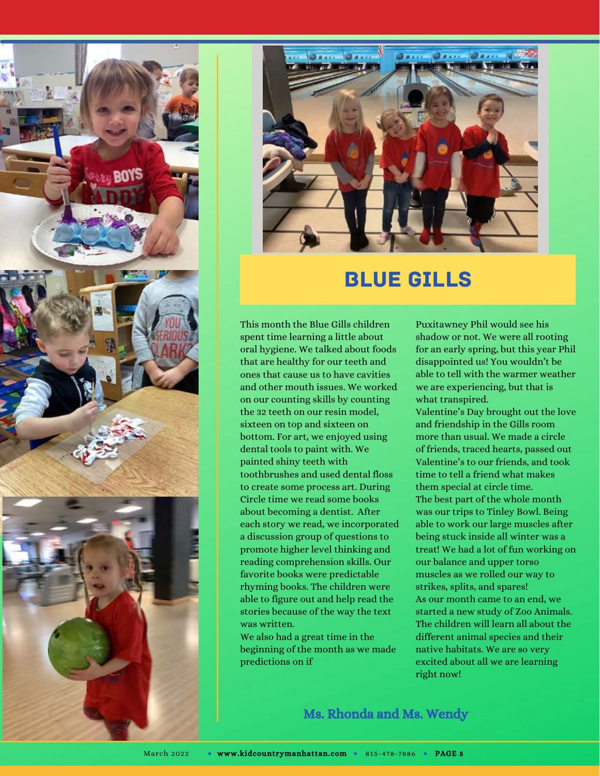



### Blue Gills

This month the Blue Gills children spent time learning a little about oral hygiene. We talked about foods that are healthy for our teeth and ones that cause us to have cavities and other mouth issues. We worked on our counting skills by counting the 32 teeth on our resin model, sixteen on top and sixteen on bottom. For art, we enjoyed using dental tools to paint with. We painted shiny teeth with toothbrushes and used dental floss to create some process art. During Circle time we read some books about becoming a dentist. After each story we read, we incorporated a discussion group of questions to promote higher level thinking and reading comprehension skills. Our favorite books were predictable rhyming books. The children were able to figure out and help read the stories because of the way the text was written.

We also had a great time in the beginning of the month as we made predictions on if

Puxitawney Phil would see his shadow or not. We were all rooting for an early spring, but this year Phil disappointed us! You wouldn't be able to tell with the warmer weather we are experiencing, but that is what transpired.

Valentine's Day brought out the love and friendship in the Gills room more than usual. We made a circle of friends, traced hearts, passed out Valentine's to our friends, and took time to tell a friend what makes them special at circle time. The best part of the whole month was our trips to Tinley Bowl. Being able to work our large muscles after being stuck inside all winter was a treat! We had a lot of fun working on our balance and upper torso muscles as we rolled our way to strikes, splits, and spares! As our month came to an end, we started a new study of Zoo Animals. The children will learn all about the different animal species and their native habitats. We are so very excited about all we are learning right now!

Ms. Rhonda and Ms. Wendy